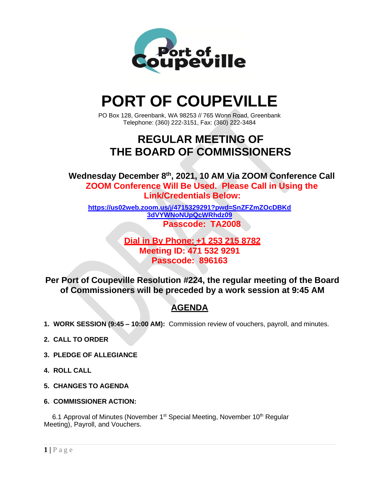

# **PORT OF COUPEVILLE**

PO Box 128, Greenbank, WA 98253 // 765 Wonn Road, Greenbank Telephone: (360) 222-3151, Fax: (360) 222-3484

## **REGULAR MEETING OF THE BOARD OF COMMISSIONERS**

**Wednesday December 8 th , 2021, 10 AM Via ZOOM Conference Call ZOOM Conference Will Be Used. Please Call in Using the Link/Credentials Below:**

**[https://us02web.zoom.us/j/4715329291?pwd=SnZFZmZOcDBKd](https://us02web.zoom.us/j/4715329291?pwd=SnZFZmZOcDBKd3dVYWNoNUpQcWRhdz09) [3dVYWNoNUpQcWRhdz09](https://us02web.zoom.us/j/4715329291?pwd=SnZFZmZOcDBKd3dVYWNoNUpQcWRhdz09) Passcode: TA2008**

> **Dial in By Phone: +1 253 215 8782 Meeting ID: 471 532 9291 Passcode: 896163**

**Per Port of Coupeville Resolution #224, the regular meeting of the Board of Commissioners will be preceded by a work session at 9:45 AM**

### **AGENDA**

- **1. WORK SESSION (9:45 – 10:00 AM):** Commission review of vouchers, payroll, and minutes.
- **2. CALL TO ORDER**
- **3. PLEDGE OF ALLEGIANCE**
- **4. ROLL CALL**
- **5. CHANGES TO AGENDA**
- **6. COMMISSIONER ACTION:**

6.1 Approval of Minutes (November 1<sup>st</sup> Special Meeting, November 10<sup>th</sup> Regular Meeting), Payroll, and Vouchers.